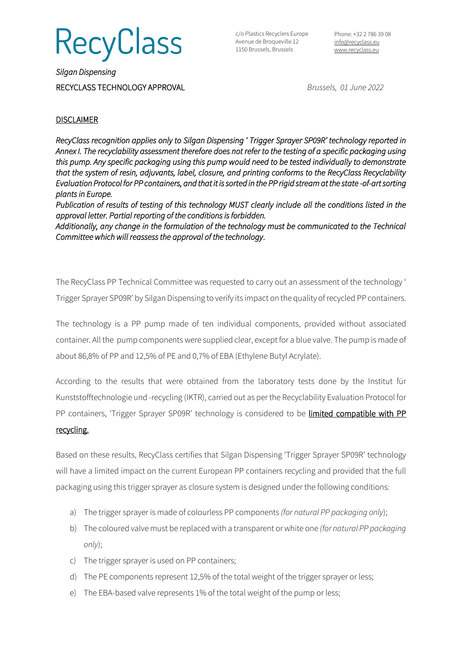**RecyClass** 

c/o Plastics Recyclers Europe Avenue de Broqueville 12 1150 Brussels, Brussels

Phone: +32 2 786 39 08 [info@recyclass.eu](mailto:info@recyclass.eu) [www.recyclass.eu](http://www.recyclass.eu/)

*Silgan Dispensing*  RECYCLASS TECHNOLOGY APPROVAL *Brussels, 01 June 2022*

### **DISCLAIMER**

*RecyClass recognition applies only to Silgan Dispensing ' Trigger Sprayer SP09R' technology reported in Annex I. The recyclability assessment therefore does not refer to the testing of a specific packaging using this pump. Any specific packaging using this pump would need to be tested individually to demonstrate that the system of resin, adjuvants, label, closure, and printing conforms to the RecyClass Recyclability Evaluation Protocol for PP containers, and that it is sorted in the PP rigid stream at the state -of-art sorting plants in Europe.* 

*Publication of results of testing of this technology MUST clearly include all the conditions listed in the approval letter. Partial reporting of the conditions is forbidden.* 

*Additionally, any change in the formulation of the technology must be communicated to the Technical Committee which will reassess the approval of the technology*.

The RecyClass PP Technical Committee was requested to carry out an assessment of the technology ' Trigger Sprayer SP09R' by Silgan Dispensing to verify its impact on the quality of recycled PP containers.

The technology is a PP pump made of ten individual components, provided without associated container. All the pump componentswere supplied clear, except for a blue valve. The pump is made of about 86,8% of PP and 12,5% of PE and 0,7% of EBA (Ethylene Butyl Acrylate).

According to the results that were obtained from the laboratory tests done by the Institut für Kunststofftechnologie und -recycling (IKTR), carried out as per the Recyclability Evaluation Protocol for PP containers, 'Trigger Sprayer SP09R' technology is considered to be limited compatible with PP

#### recycling.

Based on these results, RecyClass certifies that Silgan Dispensing 'Trigger Sprayer SP09R' technology will have a limited impact on the current European PP containers recycling and provided that the full packaging using this trigger sprayer as closure system is designed under the following conditions:

- a) The trigger sprayer is made of colourless PP components *(for natural PP packaging only*);
- b) The coloured valve must be replaced with a transparent or white one *(for natural PP packaging only*);
- c) The trigger sprayer is used on PP containers;
- d) The PE components represent 12,5% of the total weight of the trigger sprayer or less;
- e) The EBA-based valve represents 1% of the total weight of the pump or less;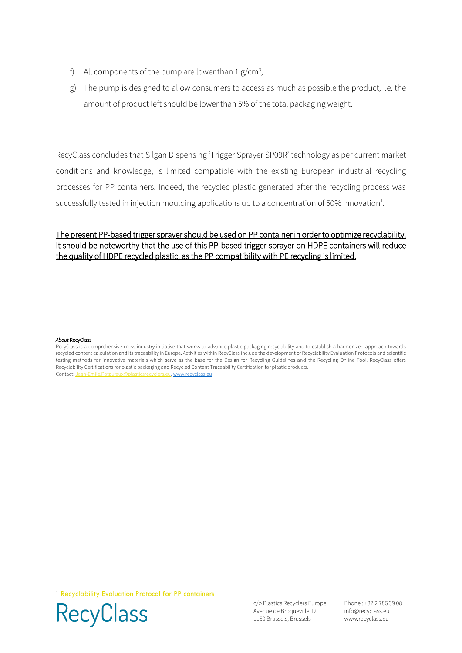- f) All components of the pump are lower than  $1 g/cm^3$ ;
- g) The pump is designed to allow consumers to access as much as possible the product, i.e. the amount of product left should be lower than 5% of the total packaging weight.

RecyClass concludes that Silgan Dispensing 'Trigger Sprayer SP09R' technology as per current market conditions and knowledge, is limited compatible with the existing European industrial recycling processes for PP containers. Indeed, the recycled plastic generated after the recycling process was successfully tested in injection moulding applications up to a concentration of 50% innovation<sup>1</sup>.

## The present PP-based trigger sprayer should be used on PP container in order to optimize recyclability. It should be noteworthy that the use of this PP-based trigger sprayer on HDPE containers will reduce the quality of HDPE recycled plastic, as the PP compatibility with PE recycling is limited.

#### *About* RecyClass

<sup>1</sup> [Recyclability Evaluation Protocol for PP containers](https://recyclass.eu/recyclability/test-methods/)



c/o Plastics Recyclers Europe Avenue de Broqueville 12 1150 Brussels, Brussels

Phone : +32 2 786 39 08 info[@recyclass.eu](mailto:recyclass@plasticsrecyclers.eu) www.recyclass.eu

RecyClass is a comprehensive cross-industry initiative that works to advance plastic packaging recyclability and to establish a harmonized approach towards recycled content calculation and its traceability in Europe. Activities within RecyClass include the development of Recyclability Evaluation Protocols and scientific testing methods for innovative materials which serve as the base for the Design for Recycling Guidelines and the Recycling Online Tool. RecyClass offers Recyclability Certifications for plastic packaging and Recycled Content Traceability Certification for plastic products. Contact[: Jean-Emile.Potaufeux@plasticsrecyclers.eu,](mailto:Jean-Emile.Potaufeux@plasticsrecyclers.eu) [www.recyclass.eu](http://www.recyclass.eu/)